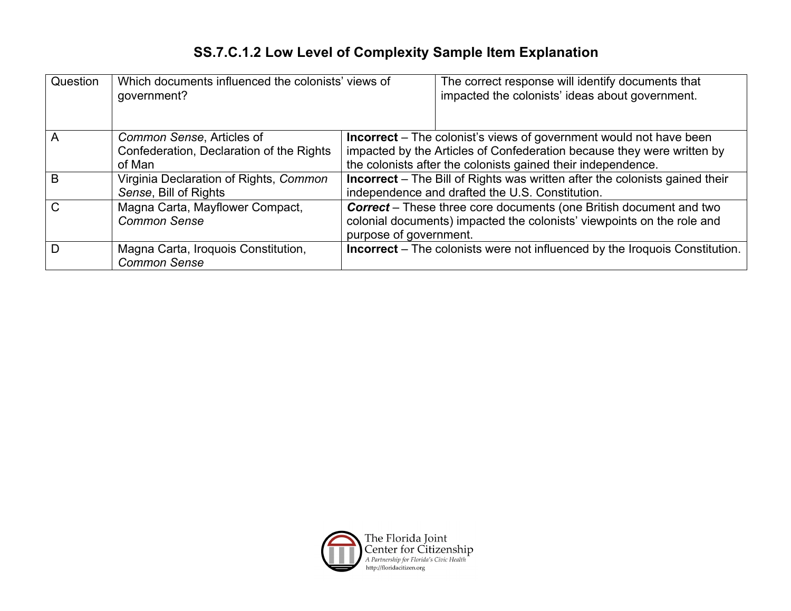## **SS.7.C.1.2 Low Level of Complexity Sample Item Explanation**

| Question      | Which documents influenced the colonists' views of<br>government?               |                                                                                                                                                                                                                     | The correct response will identify documents that<br>impacted the colonists' ideas about government. |
|---------------|---------------------------------------------------------------------------------|---------------------------------------------------------------------------------------------------------------------------------------------------------------------------------------------------------------------|------------------------------------------------------------------------------------------------------|
| A             | Common Sense, Articles of<br>Confederation, Declaration of the Rights<br>of Man | <b>Incorrect</b> – The colonist's views of government would not have been<br>impacted by the Articles of Confederation because they were written by<br>the colonists after the colonists gained their independence. |                                                                                                      |
| B             | Virginia Declaration of Rights, Common<br>Sense, Bill of Rights                 | <b>Incorrect</b> – The Bill of Rights was written after the colonists gained their<br>independence and drafted the U.S. Constitution.                                                                               |                                                                                                      |
| $\mathcal{C}$ | Magna Carta, Mayflower Compact,<br><b>Common Sense</b>                          | <b>Correct</b> – These three core documents (one British document and two<br>colonial documents) impacted the colonists' viewpoints on the role and<br>purpose of government.                                       |                                                                                                      |
| D             | Magna Carta, Iroquois Constitution,<br><b>Common Sense</b>                      |                                                                                                                                                                                                                     | <b>Incorrect</b> – The colonists were not influenced by the Iroquois Constitution.                   |

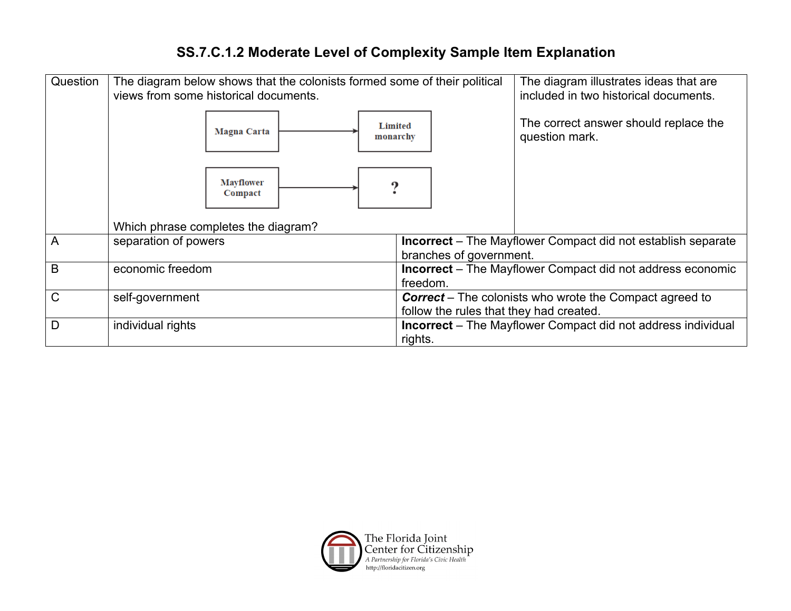## **SS.7.C.1.2 Moderate Level of Complexity Sample Item Explanation**

| Question     | The diagram below shows that the colonists formed some of their political<br>views from some historical documents. | The diagram illustrates ideas that are<br>included in two historical documents.                |  |
|--------------|--------------------------------------------------------------------------------------------------------------------|------------------------------------------------------------------------------------------------|--|
|              | <b>Magna Carta</b>                                                                                                 | The correct answer should replace the<br><b>Limited</b><br>question mark.<br>monarchy          |  |
|              | <b>Mayflower</b><br>Compact                                                                                        |                                                                                                |  |
|              | Which phrase completes the diagram?                                                                                |                                                                                                |  |
| A            | separation of powers                                                                                               | <b>Incorrect</b> – The Mayflower Compact did not establish separate<br>branches of government. |  |
| B            | economic freedom                                                                                                   | <b>Incorrect</b> – The Mayflower Compact did not address economic<br>freedom.                  |  |
| $\mathsf{C}$ | self-government                                                                                                    | <b>Correct</b> – The colonists who wrote the Compact agreed to                                 |  |
|              |                                                                                                                    | follow the rules that they had created.                                                        |  |
| D            | individual rights                                                                                                  | <b>Incorrect</b> – The Mayflower Compact did not address individual<br>rights.                 |  |